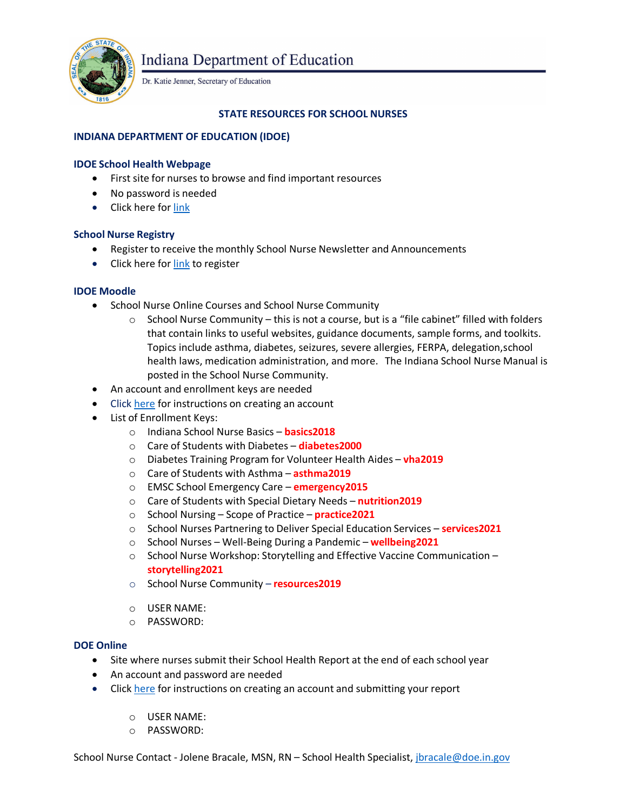

**Indiana Department of Education** 

Dr. Katie Jenner, Secretary of Education

## **STATE RESOURCES FOR SCHOOL NURSES**

# **INDIANA DEPARTMENT OF EDUCATION (IDOE)**

## **IDOE School Health Webpage**

- First site for nurses to browse and find important resources
- No password is needed
- Click here for [link](https://www.in.gov/doe/students/school-safety-and-wellness/health/)

### **School Nurse Registry**

- Register to receive the monthly School Nurse Newsletter and Announcements
- Click here for [link](https://form.jotform.com/90844966515973) to register

### **IDOE Moodle**

- School Nurse Online Courses and School Nurse Community
	- $\circ$  School Nurse Community this is not a course, but is a "file cabinet" filled with folders that contain links to useful websites, guidance documents, sample forms, and toolkits. Topics include asthma, diabetes, seizures, severe allergies, FERPA, delegation,school health laws, medication administration, and more. The Indiana School Nurse Manual is posted in the School Nurse Community.
- An account and enrollment keys are needed
- Click [here](https://www.in.gov/doe/students/school-safety-and-wellness/health/) for instructions on creating an account
- List of Enrollment Keys:
	- o Indiana School Nurse Basics **basics2018**
	- o Care of Students with Diabetes **diabetes2000**
	- o Diabetes Training Program for Volunteer Health Aides **vha2019**
	- o Care of Students with Asthma **asthma2019**
	- o EMSC School Emergency Care **emergency2015**
	- o Care of Students with Special Dietary Needs **nutrition2019**
	- o School Nursing Scope of Practice **practice2021**
	- o School Nurses Partnering to Deliver Special Education Services **services2021**
	- o School Nurses Well-Being During a Pandemic **wellbeing2021**
	- o School Nurse Workshop: Storytelling and Effective Vaccine Communication **storytelling2021**
	- o School Nurse Community **resources2019**
	- o USER NAME:
	- o PASSWORD:

### **DOE Online**

- Site where nurses submit their School Health Report at the end of each school year
- An account and password are needed
- Click [here](https://www.doe.in.gov/sites/default/files/health/shr-instructions-revised-2-25-19.pdf) for instructions on creating an account and submitting your report
	- o USER NAME:
	- o PASSWORD:

School Nurse Contact - Jolene Bracale, MSN, RN - School Health Specialist, [jbracale@doe.in.gov](mailto:jbracale@doe.in.gov)